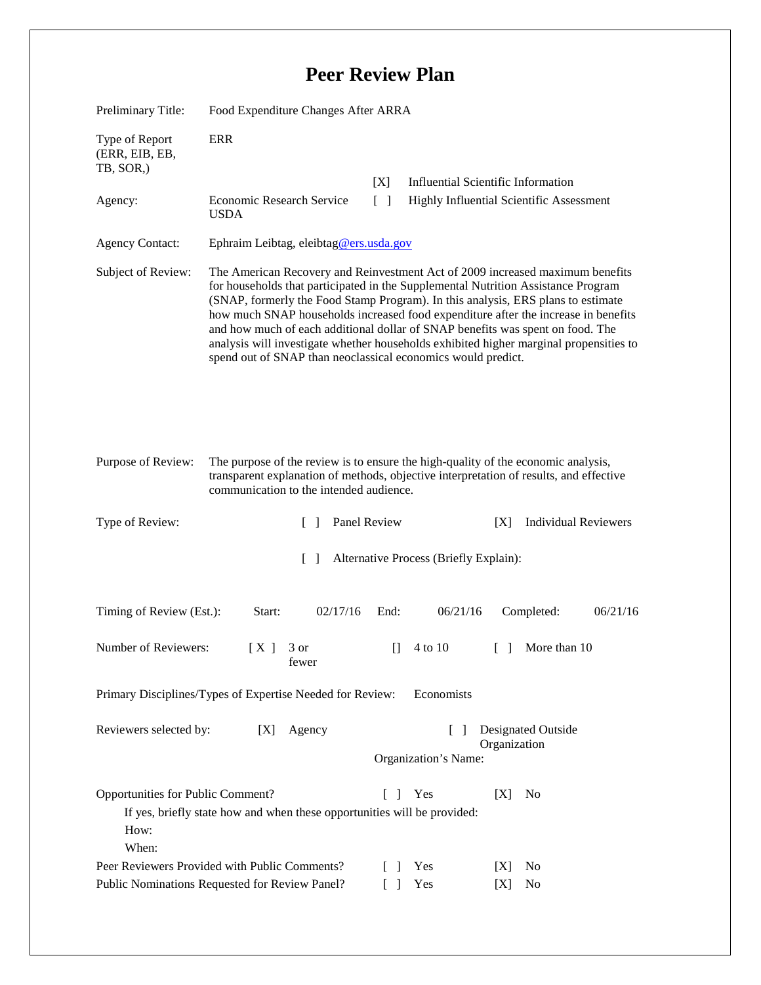## **Peer Review Plan**

| Preliminary Title:                                                                                                                                            | Food Expenditure Changes After ARRA                                                                                                                                                                                                                                                                                                                                                                                                                                                                                                                                                      |                                   |                                                                |
|---------------------------------------------------------------------------------------------------------------------------------------------------------------|------------------------------------------------------------------------------------------------------------------------------------------------------------------------------------------------------------------------------------------------------------------------------------------------------------------------------------------------------------------------------------------------------------------------------------------------------------------------------------------------------------------------------------------------------------------------------------------|-----------------------------------|----------------------------------------------------------------|
| Type of Report<br>(ERR, EIB, EB,<br>TB, SOR.)                                                                                                                 | <b>ERR</b>                                                                                                                                                                                                                                                                                                                                                                                                                                                                                                                                                                               |                                   |                                                                |
|                                                                                                                                                               |                                                                                                                                                                                                                                                                                                                                                                                                                                                                                                                                                                                          | [X]                               | <b>Influential Scientific Information</b>                      |
| Agency:                                                                                                                                                       | Economic Research Service<br><b>USDA</b>                                                                                                                                                                                                                                                                                                                                                                                                                                                                                                                                                 | $\begin{bmatrix} 1 \end{bmatrix}$ | Highly Influential Scientific Assessment                       |
| <b>Agency Contact:</b>                                                                                                                                        | Ephraim Leibtag, eleibtag@ers.usda.gov                                                                                                                                                                                                                                                                                                                                                                                                                                                                                                                                                   |                                   |                                                                |
| Subject of Review:                                                                                                                                            | The American Recovery and Reinvestment Act of 2009 increased maximum benefits<br>for households that participated in the Supplemental Nutrition Assistance Program<br>(SNAP, formerly the Food Stamp Program). In this analysis, ERS plans to estimate<br>how much SNAP households increased food expenditure after the increase in benefits<br>and how much of each additional dollar of SNAP benefits was spent on food. The<br>analysis will investigate whether households exhibited higher marginal propensities to<br>spend out of SNAP than neoclassical economics would predict. |                                   |                                                                |
| Purpose of Review:                                                                                                                                            | The purpose of the review is to ensure the high-quality of the economic analysis,<br>transparent explanation of methods, objective interpretation of results, and effective<br>communication to the intended audience.                                                                                                                                                                                                                                                                                                                                                                   |                                   |                                                                |
| Type of Review:                                                                                                                                               | $\Box$                                                                                                                                                                                                                                                                                                                                                                                                                                                                                                                                                                                   | Panel Review                      | <b>Individual Reviewers</b><br>[X]                             |
| $\lceil \rceil$<br>Alternative Process (Briefly Explain):                                                                                                     |                                                                                                                                                                                                                                                                                                                                                                                                                                                                                                                                                                                          |                                   |                                                                |
| Timing of Review (Est.):                                                                                                                                      | 02/17/16<br>Start:                                                                                                                                                                                                                                                                                                                                                                                                                                                                                                                                                                       | 06/21/16<br>End:                  | 06/21/16<br>Completed:                                         |
| Number of Reviewers:                                                                                                                                          | [X]<br>3 or<br>fewer                                                                                                                                                                                                                                                                                                                                                                                                                                                                                                                                                                     | 4 to 10<br>$\Box$                 | $\begin{bmatrix} 1 & 1 \\ 1 & 1 \end{bmatrix}$<br>More than 10 |
| Economists<br>Primary Disciplines/Types of Expertise Needed for Review:                                                                                       |                                                                                                                                                                                                                                                                                                                                                                                                                                                                                                                                                                                          |                                   |                                                                |
| Designated Outside<br>Reviewers selected by:<br>[X]<br>Agency<br>$\Box$<br>Organization<br>Organization's Name:                                               |                                                                                                                                                                                                                                                                                                                                                                                                                                                                                                                                                                                          |                                   |                                                                |
| Opportunities for Public Comment?<br>L<br>Yes<br>[X]<br>No<br>-1<br>If yes, briefly state how and when these opportunities will be provided:<br>How:<br>When: |                                                                                                                                                                                                                                                                                                                                                                                                                                                                                                                                                                                          |                                   |                                                                |
| Peer Reviewers Provided with Public Comments?<br>Yes<br>No<br>$\Box$<br>[X]                                                                                   |                                                                                                                                                                                                                                                                                                                                                                                                                                                                                                                                                                                          |                                   |                                                                |
| Public Nominations Requested for Review Panel?<br>Yes<br>No<br>$\Box$<br>[X]                                                                                  |                                                                                                                                                                                                                                                                                                                                                                                                                                                                                                                                                                                          |                                   |                                                                |